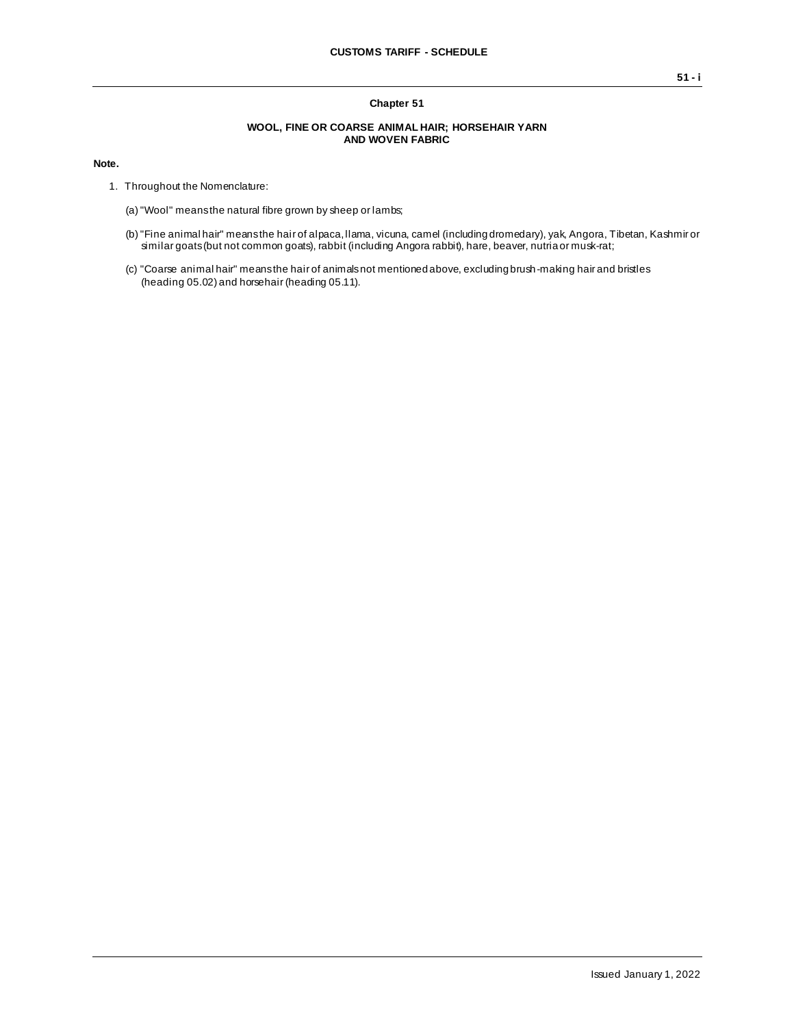### **Chapter 51**

#### **WOOL, FINE OR COARSE ANIMAL HAIR; HORSEHAIR YARN AND WOVEN FABRIC**

#### **Note.**

- 1. Throughout the Nomenclature:
	- (a)"Wool" means the natural fibre grown by sheep or lambs;
	- (b)"Fine animal hair" means the hair of alpaca, llama, vicuna, camel (including dromedary), yak, Angora, Tibetan, Kashmir or similar goats (but not common goats), rabbit (including Angora rabbit), hare, beaver, nutria or musk-rat;
	- (c) "Coarse animal hair" means the hair of animals not mentioned above, excluding brush-making hair and bristles (heading 05.02) and horsehair (heading 05.11).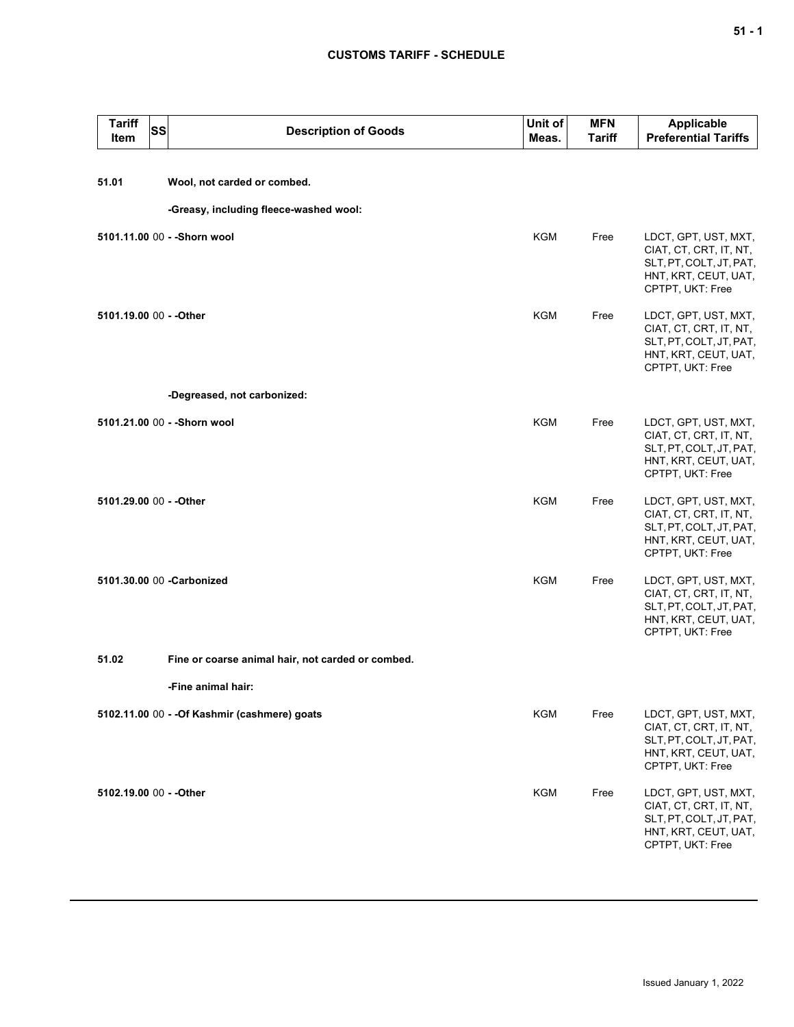## **CUSTOMS TARIFF - SCHEDULE**

| <b>Tariff</b><br>Item   | SS | <b>Description of Goods</b>                       | Unit of<br>Meas. | <b>MFN</b><br><b>Tariff</b> | <b>Applicable</b><br><b>Preferential Tariffs</b>                                                                      |
|-------------------------|----|---------------------------------------------------|------------------|-----------------------------|-----------------------------------------------------------------------------------------------------------------------|
| 51.01                   |    | Wool, not carded or combed.                       |                  |                             |                                                                                                                       |
|                         |    | -Greasy, including fleece-washed wool:            |                  |                             |                                                                                                                       |
|                         |    | 5101.11.00 00 - - Shorn wool                      | <b>KGM</b>       | Free                        | LDCT, GPT, UST, MXT,<br>CIAT, CT, CRT, IT, NT,<br>SLT, PT, COLT, JT, PAT,<br>HNT, KRT, CEUT, UAT,<br>CPTPT, UKT: Free |
| 5101.19.00 00 - - Other |    |                                                   | <b>KGM</b>       | Free                        | LDCT, GPT, UST, MXT,<br>CIAT, CT, CRT, IT, NT,<br>SLT, PT, COLT, JT, PAT,<br>HNT, KRT, CEUT, UAT,<br>CPTPT, UKT: Free |
|                         |    | -Degreased, not carbonized:                       |                  |                             |                                                                                                                       |
|                         |    | 5101.21.00 00 - - Shorn wool                      | <b>KGM</b>       | Free                        | LDCT, GPT, UST, MXT,<br>CIAT, CT, CRT, IT, NT,<br>SLT, PT, COLT, JT, PAT,<br>HNT, KRT, CEUT, UAT,<br>CPTPT, UKT: Free |
| 5101.29.00 00 - - Other |    |                                                   | <b>KGM</b>       | Free                        | LDCT, GPT, UST, MXT,<br>CIAT, CT, CRT, IT, NT,<br>SLT, PT, COLT, JT, PAT,<br>HNT, KRT, CEUT, UAT,<br>CPTPT, UKT: Free |
|                         |    | 5101.30.00 00 -Carbonized                         | <b>KGM</b>       | Free                        | LDCT, GPT, UST, MXT,<br>CIAT, CT, CRT, IT, NT,<br>SLT, PT, COLT, JT, PAT,<br>HNT, KRT, CEUT, UAT,<br>CPTPT, UKT: Free |
| 51.02                   |    | Fine or coarse animal hair, not carded or combed. |                  |                             |                                                                                                                       |
|                         |    | -Fine animal hair:                                |                  |                             |                                                                                                                       |
|                         |    | 5102.11.00 00 - - Of Kashmir (cashmere) goats     | <b>KGM</b>       | Free                        | LDCT, GPT, UST, MXT,<br>CIAT, CT, CRT, IT, NT,<br>SLT, PT, COLT, JT, PAT,<br>HNT, KRT, CEUT, UAT,<br>CPTPT, UKT: Free |
| 5102.19.00 00 - - Other |    |                                                   | <b>KGM</b>       | Free                        | LDCT, GPT, UST, MXT,<br>CIAT, CT, CRT, IT, NT,<br>SLT, PT, COLT, JT, PAT,<br>HNT, KRT, CEUT, UAT,<br>CPTPT, UKT: Free |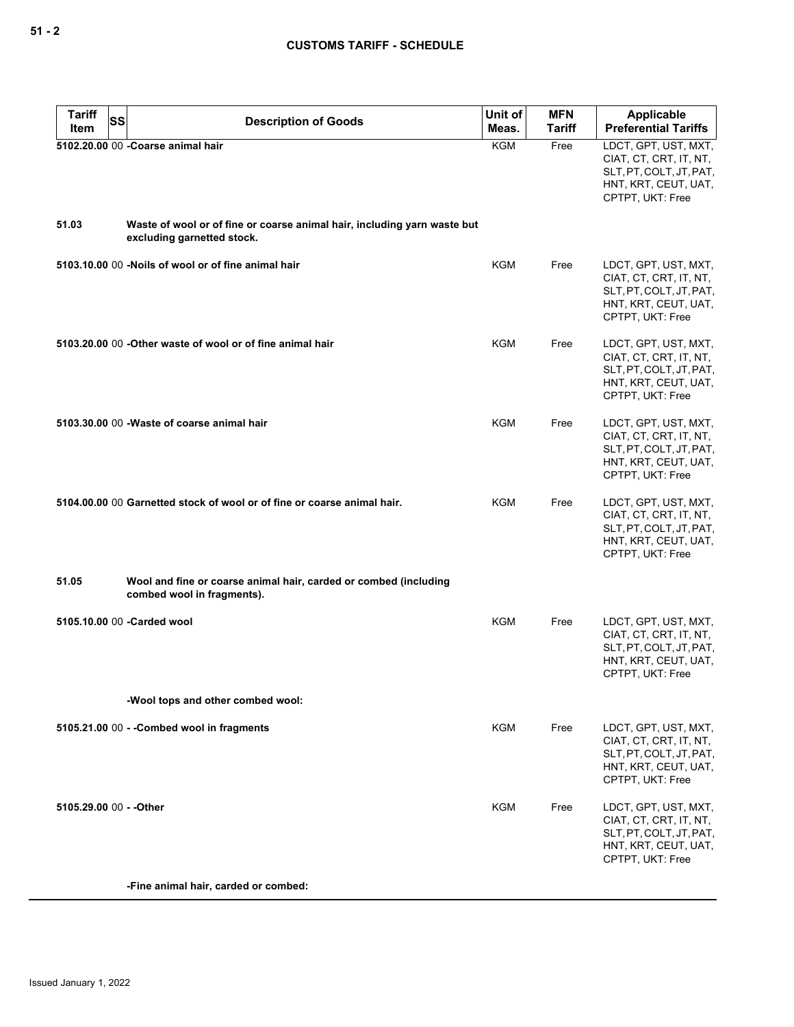| <b>Tariff</b><br>SS<br>Item | <b>Description of Goods</b>                                                                            | Unit of<br>Meas. | <b>MFN</b><br>Tariff | Applicable<br><b>Preferential Tariffs</b>                                                                             |
|-----------------------------|--------------------------------------------------------------------------------------------------------|------------------|----------------------|-----------------------------------------------------------------------------------------------------------------------|
|                             | 5102.20.00 00 - Coarse animal hair                                                                     | KGM              | Free                 | LDCT, GPT, UST, MXT,<br>CIAT, CT, CRT, IT, NT,<br>SLT, PT, COLT, JT, PAT,<br>HNT, KRT, CEUT, UAT,<br>CPTPT, UKT: Free |
| 51.03                       | Waste of wool or of fine or coarse animal hair, including yarn waste but<br>excluding garnetted stock. |                  |                      |                                                                                                                       |
|                             | 5103.10.00 00 -Noils of wool or of fine animal hair                                                    | <b>KGM</b>       | Free                 | LDCT, GPT, UST, MXT,<br>CIAT, CT, CRT, IT, NT,<br>SLT, PT, COLT, JT, PAT,<br>HNT, KRT, CEUT, UAT,<br>CPTPT, UKT: Free |
|                             | 5103.20.00 00 - Other waste of wool or of fine animal hair                                             | <b>KGM</b>       | Free                 | LDCT, GPT, UST, MXT,<br>CIAT, CT, CRT, IT, NT,<br>SLT, PT, COLT, JT, PAT,<br>HNT, KRT, CEUT, UAT,<br>CPTPT, UKT: Free |
|                             | 5103.30.00 00 - Waste of coarse animal hair                                                            | KGM              | Free                 | LDCT, GPT, UST, MXT,<br>CIAT, CT, CRT, IT, NT,<br>SLT, PT, COLT, JT, PAT,<br>HNT, KRT, CEUT, UAT,<br>CPTPT, UKT: Free |
|                             | 5104.00.00 00 Garnetted stock of wool or of fine or coarse animal hair.                                | KGM              | Free                 | LDCT, GPT, UST, MXT,<br>CIAT, CT, CRT, IT, NT,<br>SLT, PT, COLT, JT, PAT,<br>HNT, KRT, CEUT, UAT,<br>CPTPT, UKT: Free |
| 51.05                       | Wool and fine or coarse animal hair, carded or combed (including<br>combed wool in fragments).         |                  |                      |                                                                                                                       |
|                             | 5105.10.00 00 - Carded wool                                                                            | KGM              | Free                 | LDCT, GPT, UST, MXT,<br>CIAT, CT, CRT, IT, NT,<br>SLT, PT, COLT, JT, PAT,<br>HNT, KRT, CEUT, UAT,<br>CPTPT, UKT: Free |
|                             | -Wool tops and other combed wool:                                                                      |                  |                      |                                                                                                                       |
|                             | 5105.21.00 00 - - Combed wool in fragments                                                             | KGM              | Free                 | LDCT, GPT, UST, MXT,<br>CIAT, CT, CRT, IT, NT,<br>SLT, PT, COLT, JT, PAT,<br>HNT, KRT, CEUT, UAT,<br>CPTPT, UKT: Free |
| 5105.29.00 00 - - Other     |                                                                                                        | KGM              | Free                 | LDCT, GPT, UST, MXT,<br>CIAT, CT, CRT, IT, NT,<br>SLT, PT, COLT, JT, PAT,<br>HNT, KRT, CEUT, UAT,<br>CPTPT, UKT: Free |
|                             | -Fine animal hair, carded or combed:                                                                   |                  |                      |                                                                                                                       |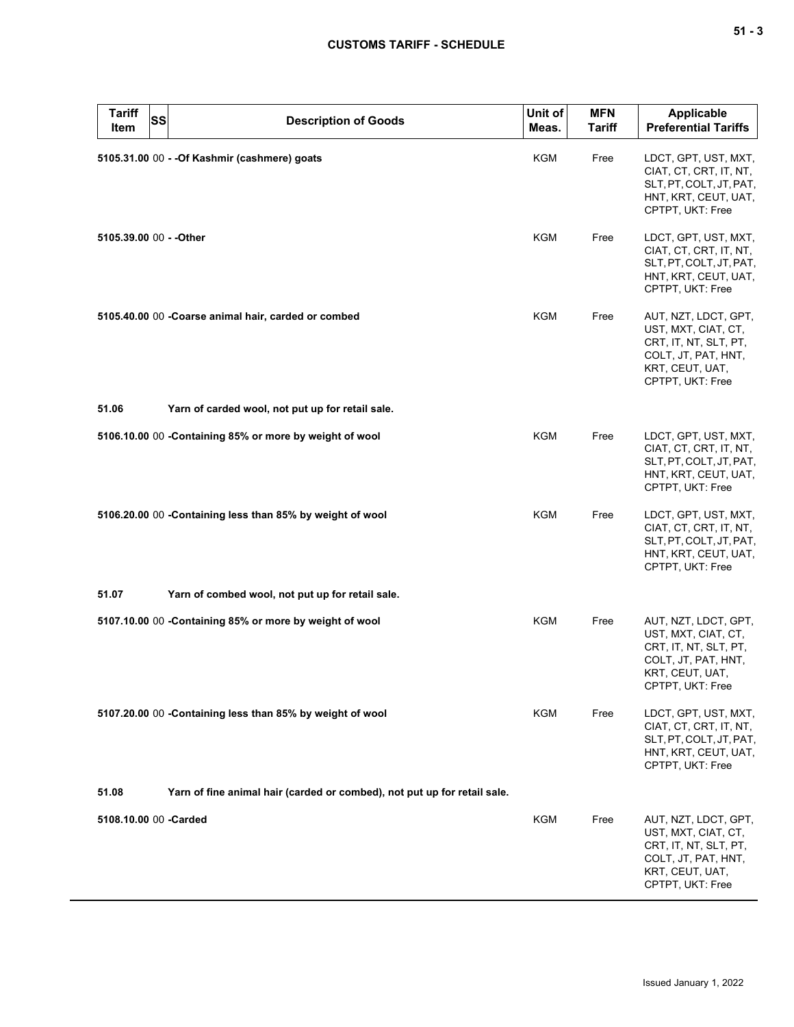| <b>Tariff</b><br><b>SS</b><br>Item | <b>Description of Goods</b>                                              | Unit of<br>Meas. | <b>MFN</b><br><b>Tariff</b> | <b>Applicable</b><br><b>Preferential Tariffs</b>                                                                                   |
|------------------------------------|--------------------------------------------------------------------------|------------------|-----------------------------|------------------------------------------------------------------------------------------------------------------------------------|
|                                    | 5105.31.00 00 - - Of Kashmir (cashmere) goats                            | <b>KGM</b>       | Free                        | LDCT, GPT, UST, MXT,<br>CIAT, CT, CRT, IT, NT,<br>SLT, PT, COLT, JT, PAT,<br>HNT, KRT, CEUT, UAT,<br>CPTPT, UKT: Free              |
| 5105.39.00 00 - - Other            |                                                                          | KGM              | Free                        | LDCT, GPT, UST, MXT,<br>CIAT, CT, CRT, IT, NT,<br>SLT, PT, COLT, JT, PAT,<br>HNT, KRT, CEUT, UAT,<br>CPTPT, UKT: Free              |
|                                    | 5105.40.00 00 - Coarse animal hair, carded or combed                     | KGM              | Free                        | AUT, NZT, LDCT, GPT,<br>UST, MXT, CIAT, CT,<br>CRT, IT, NT, SLT, PT,<br>COLT, JT, PAT, HNT,<br>KRT, CEUT, UAT,<br>CPTPT, UKT: Free |
| 51.06                              | Yarn of carded wool, not put up for retail sale.                         |                  |                             |                                                                                                                                    |
|                                    | 5106.10.00 00 - Containing 85% or more by weight of wool                 | KGM              | Free                        | LDCT, GPT, UST, MXT,<br>CIAT, CT, CRT, IT, NT,<br>SLT, PT, COLT, JT, PAT,<br>HNT, KRT, CEUT, UAT,<br>CPTPT, UKT: Free              |
|                                    | 5106.20.00 00 -Containing less than 85% by weight of wool                | KGM              | Free                        | LDCT, GPT, UST, MXT,<br>CIAT, CT, CRT, IT, NT,<br>SLT, PT, COLT, JT, PAT,<br>HNT, KRT, CEUT, UAT,<br>CPTPT, UKT: Free              |
| 51.07                              | Yarn of combed wool, not put up for retail sale.                         |                  |                             |                                                                                                                                    |
|                                    | 5107.10.00 00 - Containing 85% or more by weight of wool                 | <b>KGM</b>       | Free                        | AUT, NZT, LDCT, GPT,<br>UST, MXT, CIAT, CT,<br>CRT, IT, NT, SLT, PT,<br>COLT, JT, PAT, HNT,<br>KRT, CEUT, UAT,<br>CPTPT, UKT: Free |
|                                    | 5107.20.00 00 - Containing less than 85% by weight of wool               | KGM              | Free                        | LDCT, GPT, UST, MXT,<br>CIAT, CT, CRT, IT, NT,<br>SLT, PT, COLT, JT, PAT,<br>HNT, KRT, CEUT, UAT,<br>CPTPT, UKT: Free              |
| 51.08                              | Yarn of fine animal hair (carded or combed), not put up for retail sale. |                  |                             |                                                                                                                                    |
| 5108.10.00 00 -Carded              |                                                                          | <b>KGM</b>       | Free                        | AUT, NZT, LDCT, GPT,<br>UST, MXT, CIAT, CT,<br>CRT, IT, NT, SLT, PT,<br>COLT, JT, PAT, HNT,<br>KRT, CEUT, UAT,<br>CPTPT, UKT: Free |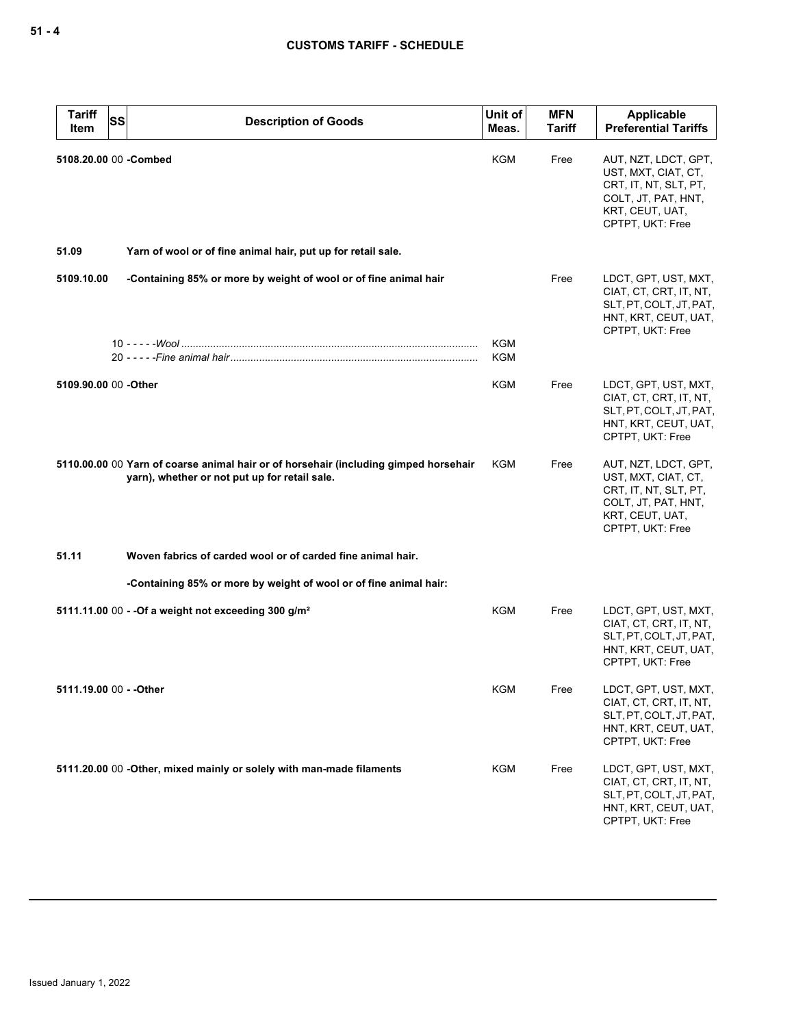| <b>Tariff</b><br>Item   | <b>SS</b> | <b>Description of Goods</b>                                                                                                           | Unit of<br>Meas. | <b>MFN</b><br><b>Tariff</b> | Applicable<br><b>Preferential Tariffs</b>                                                                                          |
|-------------------------|-----------|---------------------------------------------------------------------------------------------------------------------------------------|------------------|-----------------------------|------------------------------------------------------------------------------------------------------------------------------------|
| 5108.20.00 00 - Combed  |           |                                                                                                                                       | KGM              | Free                        | AUT, NZT, LDCT, GPT,<br>UST, MXT, CIAT, CT,<br>CRT, IT, NT, SLT, PT,<br>COLT, JT, PAT, HNT,<br>KRT, CEUT, UAT,<br>CPTPT, UKT: Free |
| 51.09                   |           | Yarn of wool or of fine animal hair, put up for retail sale.                                                                          |                  |                             |                                                                                                                                    |
| 5109.10.00              |           | -Containing 85% or more by weight of wool or of fine animal hair                                                                      |                  | Free                        | LDCT, GPT, UST, MXT,<br>CIAT, CT, CRT, IT, NT,<br>SLT, PT, COLT, JT, PAT,<br>HNT, KRT, CEUT, UAT,                                  |
|                         |           |                                                                                                                                       | KGM<br>KGM       |                             | CPTPT, UKT: Free                                                                                                                   |
| 5109.90.00 00 -Other    |           |                                                                                                                                       | KGM              | Free                        | LDCT, GPT, UST, MXT,<br>CIAT, CT, CRT, IT, NT,<br>SLT, PT, COLT, JT, PAT,<br>HNT, KRT, CEUT, UAT,<br>CPTPT, UKT: Free              |
|                         |           | 5110.00.00 00 Yarn of coarse animal hair or of horsehair (including gimped horsehair<br>yarn), whether or not put up for retail sale. | KGM              | Free                        | AUT, NZT, LDCT, GPT,<br>UST, MXT, CIAT, CT,<br>CRT, IT, NT, SLT, PT,<br>COLT, JT, PAT, HNT,<br>KRT, CEUT, UAT,<br>CPTPT, UKT: Free |
| 51.11                   |           | Woven fabrics of carded wool or of carded fine animal hair.                                                                           |                  |                             |                                                                                                                                    |
|                         |           | -Containing 85% or more by weight of wool or of fine animal hair:                                                                     |                  |                             |                                                                                                                                    |
|                         |           | 5111.11.00 00 - - Of a weight not exceeding 300 g/m <sup>2</sup>                                                                      | KGM              | Free                        | LDCT, GPT, UST, MXT,<br>CIAT, CT, CRT, IT, NT,<br>SLT, PT, COLT, JT, PAT,<br>HNT, KRT, CEUT, UAT,<br>CPTPT, UKT: Free              |
| 5111.19.00 00 - - Other |           |                                                                                                                                       | KGM              | Free                        | LDCT, GPT, UST, MXT,<br>CIAT, CT, CRT, IT, NT,<br>SLT, PT, COLT, JT, PAT,<br>HNT, KRT, CEUT, UAT,<br>CPTPT. UKT: Free              |
|                         |           | 5111.20.00 00 -Other, mixed mainly or solely with man-made filaments                                                                  | KGM              | Free                        | LDCT, GPT, UST, MXT,<br>CIAT, CT, CRT, IT, NT,<br>SLT, PT, COLT, JT, PAT,<br>HNT, KRT, CEUT, UAT,<br>CPTPT, UKT: Free              |